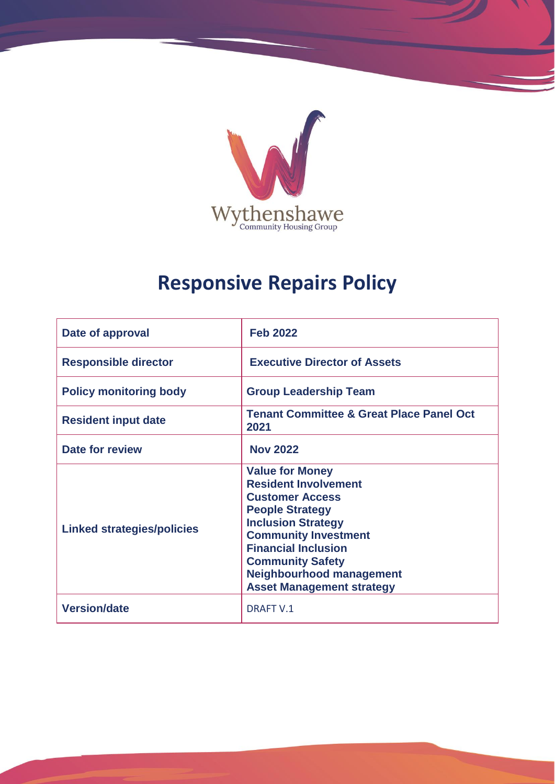

# **Responsive Repairs Policy**

| Date of approval                  | <b>Feb 2022</b>                                                                                                                                                                                                                                                                                       |
|-----------------------------------|-------------------------------------------------------------------------------------------------------------------------------------------------------------------------------------------------------------------------------------------------------------------------------------------------------|
| <b>Responsible director</b>       | <b>Executive Director of Assets</b>                                                                                                                                                                                                                                                                   |
| <b>Policy monitoring body</b>     | <b>Group Leadership Team</b>                                                                                                                                                                                                                                                                          |
| <b>Resident input date</b>        | <b>Tenant Committee &amp; Great Place Panel Oct</b><br>2021                                                                                                                                                                                                                                           |
| Date for review                   | <b>Nov 2022</b>                                                                                                                                                                                                                                                                                       |
| <b>Linked strategies/policies</b> | <b>Value for Money</b><br><b>Resident Involvement</b><br><b>Customer Access</b><br><b>People Strategy</b><br><b>Inclusion Strategy</b><br><b>Community Investment</b><br><b>Financial Inclusion</b><br><b>Community Safety</b><br><b>Neighbourhood management</b><br><b>Asset Management strategy</b> |
| <b>Version/date</b>               | <b>DRAFT V.1</b>                                                                                                                                                                                                                                                                                      |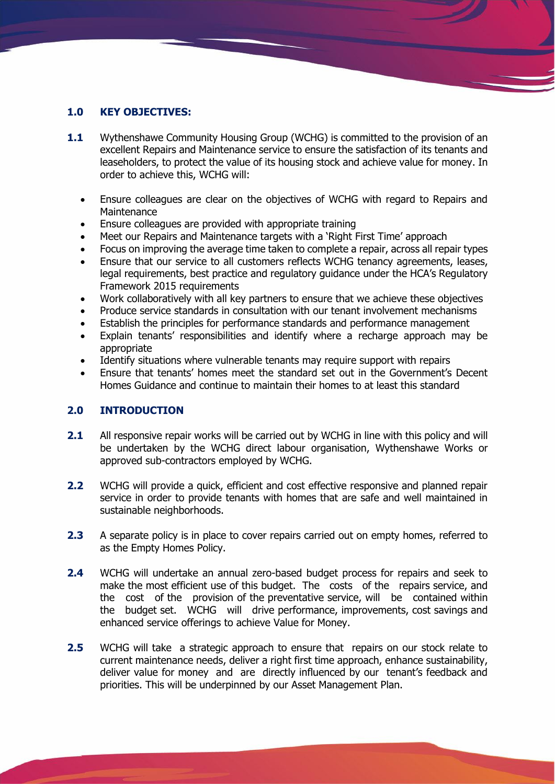# **1.0 KEY OBJECTIVES:**

- **1.1** Wythenshawe Community Housing Group (WCHG) is committed to the provision of an excellent Repairs and Maintenance service to ensure the satisfaction of its tenants and leaseholders, to protect the value of its housing stock and achieve value for money. In order to achieve this, WCHG will:
	- Ensure colleagues are clear on the objectives of WCHG with regard to Repairs and **Maintenance**
	- Ensure colleagues are provided with appropriate training
	- Meet our Repairs and Maintenance targets with a 'Right First Time' approach
	- Focus on improving the average time taken to complete a repair, across all repair types
	- Ensure that our service to all customers reflects WCHG tenancy agreements, leases, legal requirements, best practice and regulatory guidance under the HCA's Regulatory Framework 2015 requirements
	- Work collaboratively with all key partners to ensure that we achieve these objectives
	- Produce service standards in consultation with our tenant involvement mechanisms
	- Establish the principles for performance standards and performance management
	- Explain tenants' responsibilities and identify where a recharge approach may be appropriate
	- Identify situations where vulnerable tenants may require support with repairs
	- Ensure that tenants' homes meet the standard set out in the Government's Decent Homes Guidance and continue to maintain their homes to at least this standard

#### **2.0 INTRODUCTION**

- **2.1** All responsive repair works will be carried out by WCHG in line with this policy and will be undertaken by the WCHG direct labour organisation, Wythenshawe Works or approved sub-contractors employed by WCHG.
- **2.2** WCHG will provide a quick, efficient and cost effective responsive and planned repair service in order to provide tenants with homes that are safe and well maintained in sustainable neighborhoods.
- **2.3** A separate policy is in place to cover repairs carried out on empty homes, referred to as the Empty Homes Policy.
- **2.4** WCHG will undertake an annual zero-based budget process for repairs and seek to make the most efficient use of this budget. The costs of the repairs service, and the cost of the provision of the preventative service, will be contained within the budget set. WCHG will drive performance, improvements, cost savings and enhanced service offerings to achieve Value for Money.
- **2.5** WCHG will take a strategic approach to ensure that repairs on our stock relate to current maintenance needs, deliver a right first time approach, enhance sustainability, deliver value for money and are directly influenced by our tenant's feedback and priorities. This will be underpinned by our Asset Management Plan.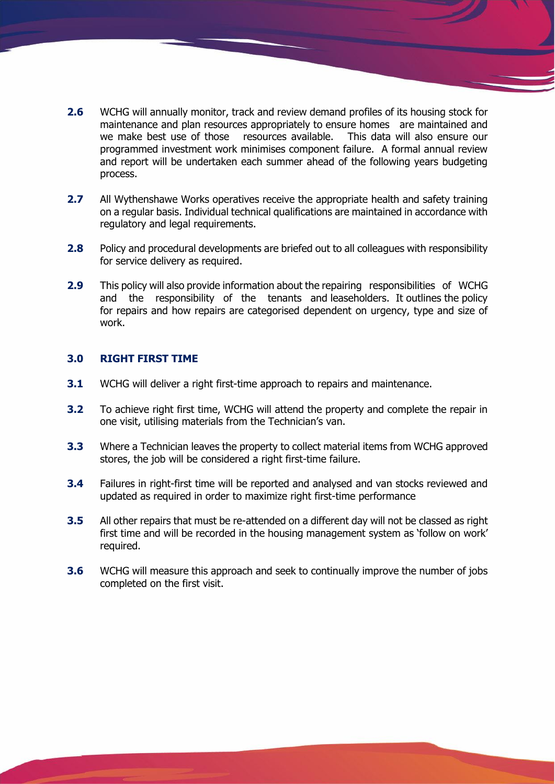- **2.6** WCHG will annually monitor, track and review demand profiles of its housing stock for maintenance and plan resources appropriately to ensure homes are maintained and we make best use of those resources available. This data will also ensure our programmed investment work minimises component failure. A formal annual review and report will be undertaken each summer ahead of the following years budgeting process.
- **2.7** All Wythenshawe Works operatives receive the appropriate health and safety training on a regular basis. Individual technical qualifications are maintained in accordance with regulatory and legal requirements.
- **2.8** Policy and procedural developments are briefed out to all colleagues with responsibility for service delivery as required.
- **2.9** This policy will also provide information about the repairing responsibilities of WCHG and the responsibility of the tenants and leaseholders. It outlines the policy for repairs and how repairs are categorised dependent on urgency, type and size of work.

#### **3.0 RIGHT FIRST TIME**

- **3.1** WCHG will deliver a right first-time approach to repairs and maintenance.
- **3.2** To achieve right first time, WCHG will attend the property and complete the repair in one visit, utilising materials from the Technician's van.
- **3.3** Where a Technician leaves the property to collect material items from WCHG approved stores, the job will be considered a right first-time failure.
- **3.4** Failures in right-first time will be reported and analysed and van stocks reviewed and updated as required in order to maximize right first-time performance
- **3.5** All other repairs that must be re-attended on a different day will not be classed as right first time and will be recorded in the housing management system as 'follow on work' required.
- **3.6** WCHG will measure this approach and seek to continually improve the number of jobs completed on the first visit.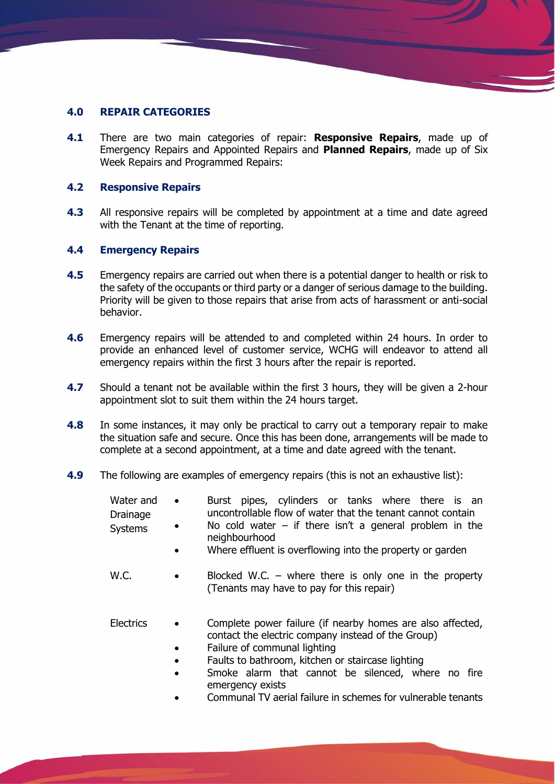## **4.0 REPAIR CATEGORIES**

**4.1** There are two main categories of repair: **Responsive Repairs**, made up of Emergency Repairs and Appointed Repairs and **Planned Repairs**, made up of Six Week Repairs and Programmed Repairs:

#### **4.2 Responsive Repairs**

**4.3** All responsive repairs will be completed by appointment at a time and date agreed with the Tenant at the time of reporting.

#### **4.4 Emergency Repairs**

- **4.5** Emergency repairs are carried out when there is a potential danger to health or risk to the safety of the occupants or third party or a danger of serious damage to the building. Priority will be given to those repairs that arise from acts of harassment or anti-social behavior.
- **4.6** Emergency repairs will be attended to and completed within 24 hours. In order to provide an enhanced level of customer service, WCHG will endeavor to attend all emergency repairs within the first 3 hours after the repair is reported.
- **4.7** Should a tenant not be available within the first 3 hours, they will be given a 2-hour appointment slot to suit them within the 24 hours target.
- **4.8** In some instances, it may only be practical to carry out a temporary repair to make the situation safe and secure. Once this has been done, arrangements will be made to complete at a second appointment, at a time and date agreed with the tenant.
- **4.9** The following are examples of emergency repairs (this is not an exhaustive list):
	- Water and Drainage **Systems** Burst pipes, cylinders or tanks where there is an uncontrollable flow of water that the tenant cannot contain No cold water – if there isn't a general problem in the neighbourhood
		- Where effluent is overflowing into the property or garden
	- W.C. Blocked W.C. where there is only one in the property (Tenants may have to pay for this repair)
	- Electrics Complete power failure (if nearby homes are also affected, contact the electric company instead of the Group)
		- Failure of communal lighting
		- Faults to bathroom, kitchen or staircase lighting
		- Smoke alarm that cannot be silenced, where no fire emergency exists
		- Communal TV aerial failure in schemes for vulnerable tenants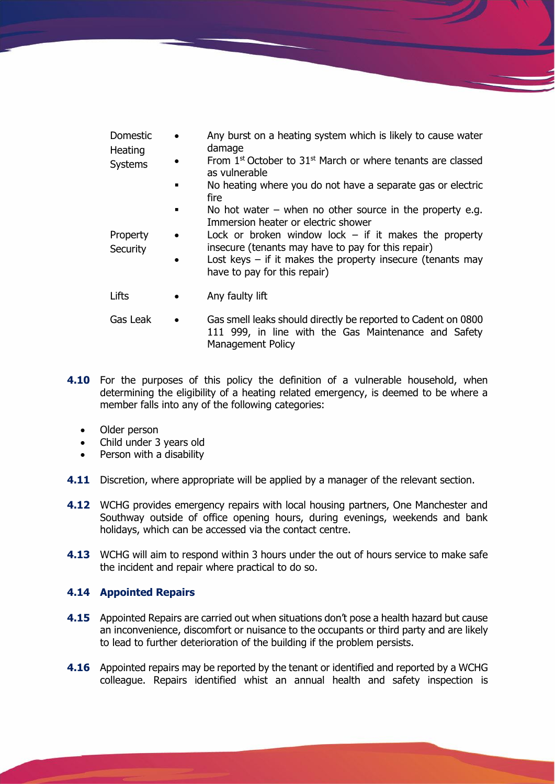| Domestic | Any burst on a heating system which is likely to cause water |
|----------|--------------------------------------------------------------|
| Heating  | damage<br>.                                                  |

**Systems** 

- From  $1<sup>st</sup>$  October to  $31<sup>st</sup>$  March or where tenants are classed as vulnerable
	- No heating where you do not have a separate gas or electric fire
	- No hot water when no other source in the property e.g. Immersion heater or electric shower

**Property Security** 

- Lock or broken window lock  $-$  if it makes the property insecure (tenants may have to pay for this repair) Lost keys  $-$  if it makes the property insecure (tenants may
- have to pay for this repair)
- Lifts Any faulty lift
- Gas Leak Gas smell leaks should directly be reported to Cadent on 0800 111 999, in line with the Gas Maintenance and Safety Management Policy
- **4.10** For the purposes of this policy the definition of a vulnerable household, when determining the eligibility of a heating related emergency, is deemed to be where a member falls into any of the following categories:
	- Older person
	- Child under 3 years old
	- Person with a disability
- **4.11** Discretion, where appropriate will be applied by a manager of the relevant section.
- **4.12** WCHG provides emergency repairs with local housing partners, One Manchester and Southway outside of office opening hours, during evenings, weekends and bank holidays, which can be accessed via the contact centre.
- **4.13** WCHG will aim to respond within 3 hours under the out of hours service to make safe the incident and repair where practical to do so.

## **4.14 Appointed Repairs**

- **4.15** Appointed Repairs are carried out when situations don't pose a health hazard but cause an inconvenience, discomfort or nuisance to the occupants or third party and are likely to lead to further deterioration of the building if the problem persists.
- **4.16** Appointed repairs may be reported by the tenant or identified and reported by a WCHG colleague. Repairs identified whist an annual health and safety inspection is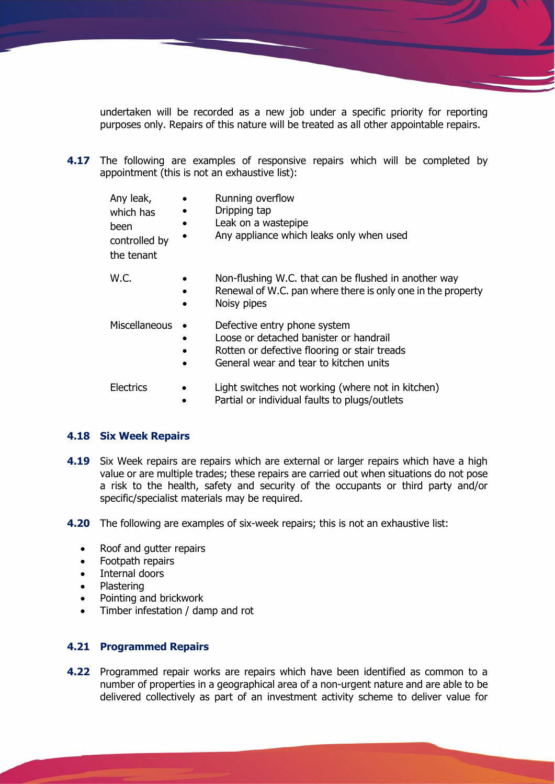undertaken will be recorded as a new job under a specific priority for reporting purposes only. Repairs of this nature will be treated as all other appointable repairs.

**4.17** The following are examples of responsive repairs which will be completed by appointment (this is not an exhaustive list):

| Any leak,<br>which has<br>been<br>controlled by<br>the tenant | $\bullet$<br>$\bullet$<br>$\bullet$<br>$\bullet$ | Running overflow<br>Dripping tap<br>Leak on a wastepipe<br>Any appliance which leaks only when used                                |
|---------------------------------------------------------------|--------------------------------------------------|------------------------------------------------------------------------------------------------------------------------------------|
| W.C.                                                          | $\bullet$<br>$\bullet$<br>$\bullet$              | Non-flushing W.C. that can be flushed in another way<br>Renewal of W.C. pan where there is only one in the property<br>Noisy pipes |
| Miscellaneous                                                 |                                                  | Defective entry phone system                                                                                                       |

- Loose or detached banister or handrail
- Rotten or defective flooring or stair treads
- General wear and tear to kitchen units
- Electrics Light switches not working (where not in kitchen)
	- Partial or individual faults to plugs/outlets

#### **4.18 Six Week Repairs**

- **4.19** Six Week repairs are repairs which are external or larger repairs which have a high value or are multiple trades; these repairs are carried out when situations do not pose a risk to the health, safety and security of the occupants or third party and/or specific/specialist materials may be required.
- **4.20** The following are examples of six-week repairs; this is not an exhaustive list:
	- Roof and gutter repairs
	- Footpath repairs
	- Internal doors
	- Plastering
	- Pointing and brickwork
	- Timber infestation / damp and rot

## **4.21 Programmed Repairs**

**4.22** Programmed repair works are repairs which have been identified as common to a number of properties in a geographical area of a non-urgent nature and are able to be delivered collectively as part of an investment activity scheme to deliver value for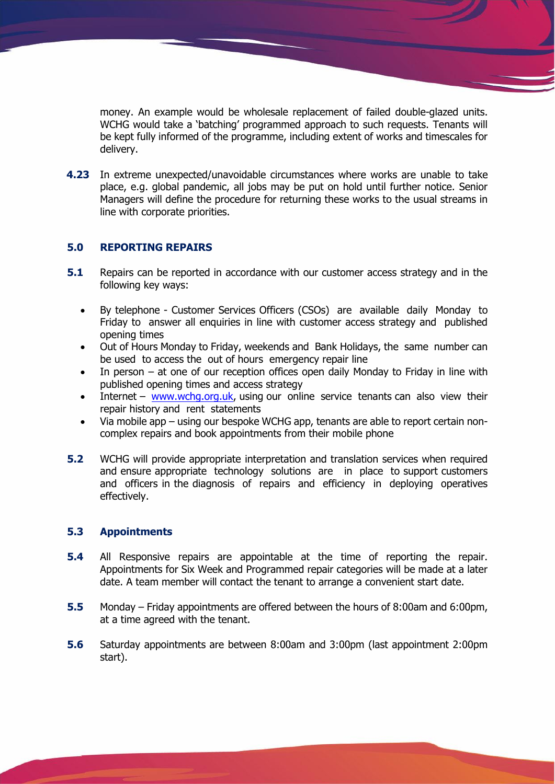money. An example would be wholesale replacement of failed double-glazed units. WCHG would take a 'batching' programmed approach to such requests. Tenants will be kept fully informed of the programme, including extent of works and timescales for delivery.

**4.23** In extreme unexpected/unavoidable circumstances where works are unable to take place, e.g. global pandemic, all jobs may be put on hold until further notice. Senior Managers will define the procedure for returning these works to the usual streams in line with corporate priorities.

## **5.0 REPORTING REPAIRS**

- **5.1** Repairs can be reported in accordance with our customer access strategy and in the following key ways:
	- By telephone Customer Services Officers (CSOs) are available daily Monday to Friday to answer all enquiries in line with customer access strategy and published opening times
	- Out of Hours Monday to Friday, weekends and Bank Holidays, the same number can be used to access the out of hours emergency repair line
	- In person  $-$  at one of our reception offices open daily Monday to Friday in line with published opening times and access strategy
	- Internet [www.wchg.org.uk,](http://www.wchg.org.uk/) using our online service tenants can also view their repair history and rent statements
	- Via mobile app using our bespoke WCHG app, tenants are able to report certain noncomplex repairs and book appointments from their mobile phone
- **5.2** WCHG will provide appropriate interpretation and translation services when required and ensure appropriate technology solutions are in place to support customers and officers in the diagnosis of repairs and efficiency in deploying operatives effectively.

#### **5.3 Appointments**

- **5.4** All Responsive repairs are appointable at the time of reporting the repair. Appointments for Six Week and Programmed repair categories will be made at a later date. A team member will contact the tenant to arrange a convenient start date.
- **5.5** Monday Friday appointments are offered between the hours of 8:00am and 6:00pm, at a time agreed with the tenant.
- **5.6** Saturday appointments are between 8:00am and 3:00pm (last appointment 2:00pm start).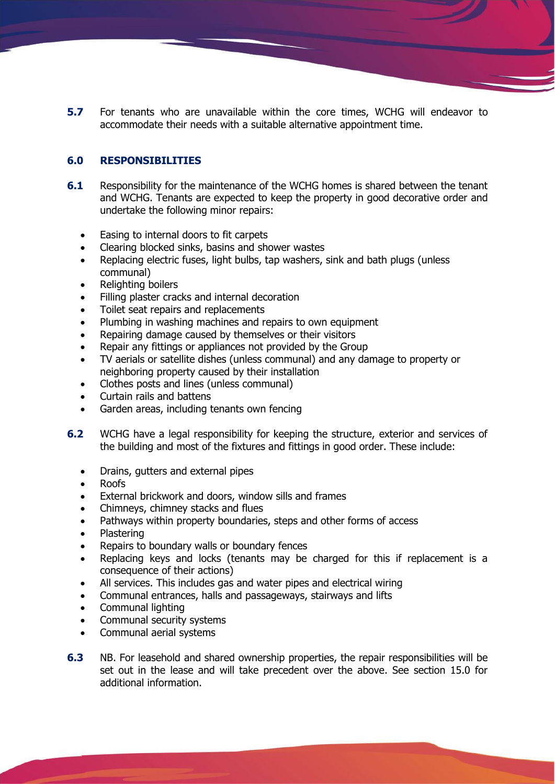**5.7** For tenants who are unavailable within the core times, WCHG will endeavor to accommodate their needs with a suitable alternative appointment time.

# **6.0 RESPONSIBILITIES**

- **6.1** Responsibility for the maintenance of the WCHG homes is shared between the tenant and WCHG. Tenants are expected to keep the property in good decorative order and undertake the following minor repairs:
	- Easing to internal doors to fit carpets
	- Clearing blocked sinks, basins and shower wastes
	- Replacing electric fuses, light bulbs, tap washers, sink and bath plugs (unless) communal)
	- Relighting boilers
	- Filling plaster cracks and internal decoration
	- Toilet seat repairs and replacements
	- Plumbing in washing machines and repairs to own equipment
	- Repairing damage caused by themselves or their visitors
	- Repair any fittings or appliances not provided by the Group
	- TV aerials or satellite dishes (unless communal) and any damage to property or neighboring property caused by their installation
	- Clothes posts and lines (unless communal)
	- Curtain rails and battens
	- Garden areas, including tenants own fencing
- **6.2** WCHG have a legal responsibility for keeping the structure, exterior and services of the building and most of the fixtures and fittings in good order. These include:
	- Drains, gutters and external pipes
	- Roofs
	- External brickwork and doors, window sills and frames
	- Chimneys, chimney stacks and flues
	- Pathways within property boundaries, steps and other forms of access
	- Plastering
	- Repairs to boundary walls or boundary fences
	- Replacing keys and locks (tenants may be charged for this if replacement is a consequence of their actions)
	- All services. This includes gas and water pipes and electrical wiring
	- Communal entrances, halls and passageways, stairways and lifts
	- Communal lighting
	- Communal security systems
	- Communal aerial systems
- **6.3** NB. For leasehold and shared ownership properties, the repair responsibilities will be set out in the lease and will take precedent over the above. See section 15.0 for additional information.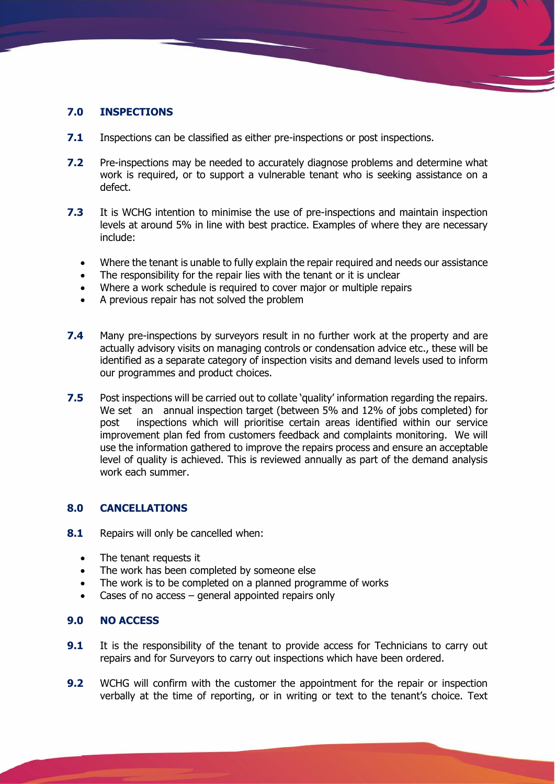# **7.0 INSPECTIONS**

- **7.1** Inspections can be classified as either pre-inspections or post inspections.
- **7.2** Pre-inspections may be needed to accurately diagnose problems and determine what work is required, or to support a vulnerable tenant who is seeking assistance on a defect.
- **7.3** It is WCHG intention to minimise the use of pre-inspections and maintain inspection levels at around 5% in line with best practice. Examples of where they are necessary include:
	- Where the tenant is unable to fully explain the repair required and needs our assistance
	- The responsibility for the repair lies with the tenant or it is unclear
	- Where a work schedule is required to cover major or multiple repairs
	- A previous repair has not solved the problem
- **7.4** Many pre-inspections by surveyors result in no further work at the property and are actually advisory visits on managing controls or condensation advice etc., these will be identified as a separate category of inspection visits and demand levels used to inform our programmes and product choices.
- **7.5** Post inspections will be carried out to collate 'quality' information regarding the repairs. We set an annual inspection target (between 5% and 12% of jobs completed) for post inspections which will prioritise certain areas identified within our service improvement plan fed from customers feedback and complaints monitoring. We will use the information gathered to improve the repairs process and ensure an acceptable level of quality is achieved. This is reviewed annually as part of the demand analysis work each summer.

## **8.0 CANCELLATIONS**

- **8.1** Repairs will only be cancelled when:
	- The tenant requests it
	- The work has been completed by someone else
	- The work is to be completed on a planned programme of works
	- Cases of no access  $-$  general appointed repairs only

#### **9.0 NO ACCESS**

- **9.1** It is the responsibility of the tenant to provide access for Technicians to carry out repairs and for Surveyors to carry out inspections which have been ordered.
- **9.2** WCHG will confirm with the customer the appointment for the repair or inspection verbally at the time of reporting, or in writing or text to the tenant's choice. Text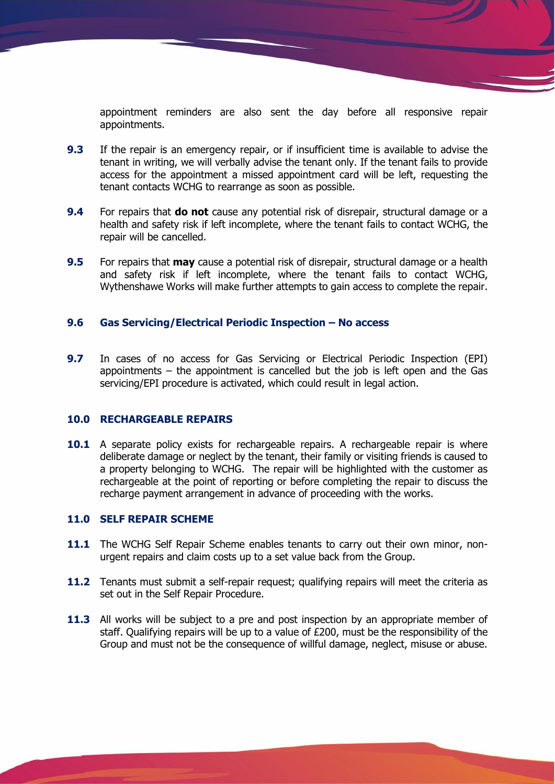appointment reminders are also sent the day before all responsive repair appointments.

- **9.3** If the repair is an emergency repair, or if insufficient time is available to advise the tenant in writing, we will verbally advise the tenant only. If the tenant fails to provide access for the appointment a missed appointment card will be left, requesting the tenant contacts WCHG to rearrange as soon as possible.
- **9.4** For repairs that **do not** cause any potential risk of disrepair, structural damage or a health and safety risk if left incomplete, where the tenant fails to contact WCHG, the repair will be cancelled.
- **9.5** For repairs that **may** cause a potential risk of disrepair, structural damage or a health and safety risk if left incomplete, where the tenant fails to contact WCHG, Wythenshawe Works will make further attempts to gain access to complete the repair.

#### **9.6 Gas Servicing/Electrical Periodic Inspection – No access**

**9.7** In cases of no access for Gas Servicing or Electrical Periodic Inspection (EPI) appointments – the appointment is cancelled but the job is left open and the Gas servicing/EPI procedure is activated, which could result in legal action.

#### **10.0 RECHARGEABLE REPAIRS**

**10.1** A separate policy exists for rechargeable repairs. A rechargeable repair is where deliberate damage or neglect by the tenant, their family or visiting friends is caused to a property belonging to WCHG. The repair will be highlighted with the customer as rechargeable at the point of reporting or before completing the repair to discuss the recharge payment arrangement in advance of proceeding with the works.

#### **11.0 SELF REPAIR SCHEME**

- **11.1** The WCHG Self Repair Scheme enables tenants to carry out their own minor, nonurgent repairs and claim costs up to a set value back from the Group.
- **11.2** Tenants must submit a self-repair request; qualifying repairs will meet the criteria as set out in the Self Repair Procedure.
- **11.3** All works will be subject to a pre and post inspection by an appropriate member of staff. Qualifying repairs will be up to a value of £200, must be the responsibility of the Group and must not be the consequence of willful damage, neglect, misuse or abuse.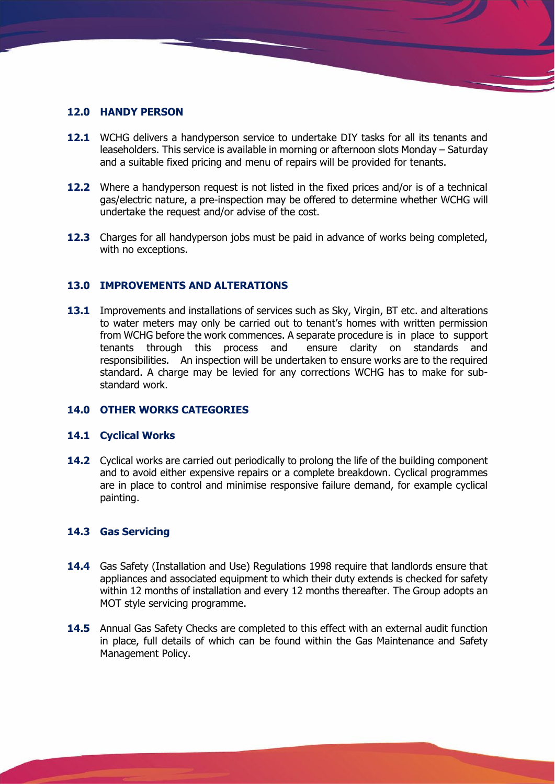#### **12.0 HANDY PERSON**

- **12.1** WCHG delivers a handyperson service to undertake DIY tasks for all its tenants and leaseholders. This service is available in morning or afternoon slots Monday – Saturday and a suitable fixed pricing and menu of repairs will be provided for tenants.
- **12.2** Where a handyperson request is not listed in the fixed prices and/or is of a technical gas/electric nature, a pre-inspection may be offered to determine whether WCHG will undertake the request and/or advise of the cost.
- **12.3** Charges for all handyperson jobs must be paid in advance of works being completed, with no exceptions.

#### **13.0 IMPROVEMENTS AND ALTERATIONS**

13.1 Improvements and installations of services such as Sky, Virgin, BT etc. and alterations to water meters may only be carried out to tenant's homes with written permission from WCHG before the work commences. A separate procedure is in place to support tenants through this process and ensure clarity on standards and responsibilities. An inspection will be undertaken to ensure works are to the required standard. A charge may be levied for any corrections WCHG has to make for substandard work.

#### **14.0 OTHER WORKS CATEGORIES**

#### **14.1 Cyclical Works**

**14.2** Cyclical works are carried out periodically to prolong the life of the building component and to avoid either expensive repairs or a complete breakdown. Cyclical programmes are in place to control and minimise responsive failure demand, for example cyclical painting.

#### **14.3 Gas Servicing**

- **14.4** Gas Safety (Installation and Use) Regulations 1998 require that landlords ensure that appliances and associated equipment to which their duty extends is checked for safety within 12 months of installation and every 12 months thereafter. The Group adopts an MOT style servicing programme.
- **14.5** Annual Gas Safety Checks are completed to this effect with an external audit function in place, full details of which can be found within the Gas Maintenance and Safety Management Policy.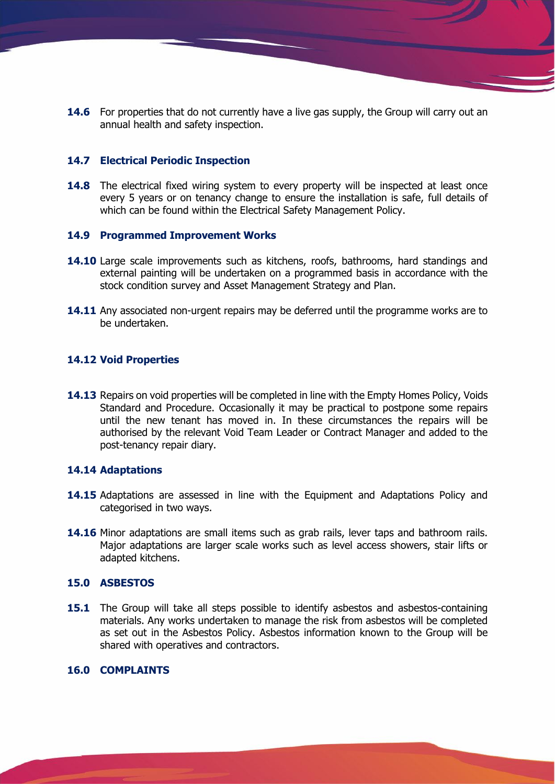**14.6** For properties that do not currently have a live gas supply, the Group will carry out an annual health and safety inspection.

#### **14.7 Electrical Periodic Inspection**

**14.8** The electrical fixed wiring system to every property will be inspected at least once every 5 years or on tenancy change to ensure the installation is safe, full details of which can be found within the Electrical Safety Management Policy.

#### **14.9 Programmed Improvement Works**

- **14.10** Large scale improvements such as kitchens, roofs, bathrooms, hard standings and external painting will be undertaken on a programmed basis in accordance with the stock condition survey and Asset Management Strategy and Plan.
- 14.11 Any associated non-urgent repairs may be deferred until the programme works are to be undertaken.

#### **14.12 Void Properties**

14.13 Repairs on void properties will be completed in line with the Empty Homes Policy, Voids Standard and Procedure. Occasionally it may be practical to postpone some repairs until the new tenant has moved in. In these circumstances the repairs will be authorised by the relevant Void Team Leader or Contract Manager and added to the post-tenancy repair diary.

#### **14.14 Adaptations**

- **14.15** Adaptations are assessed in line with the Equipment and Adaptations Policy and categorised in two ways.
- **14.16** Minor adaptations are small items such as grab rails, lever taps and bathroom rails. Major adaptations are larger scale works such as level access showers, stair lifts or adapted kitchens.

#### **15.0 ASBESTOS**

**15.1** The Group will take all steps possible to identify asbestos and asbestos-containing materials. Any works undertaken to manage the risk from asbestos will be completed as set out in the Asbestos Policy. Asbestos information known to the Group will be shared with operatives and contractors.

## **16.0 COMPLAINTS**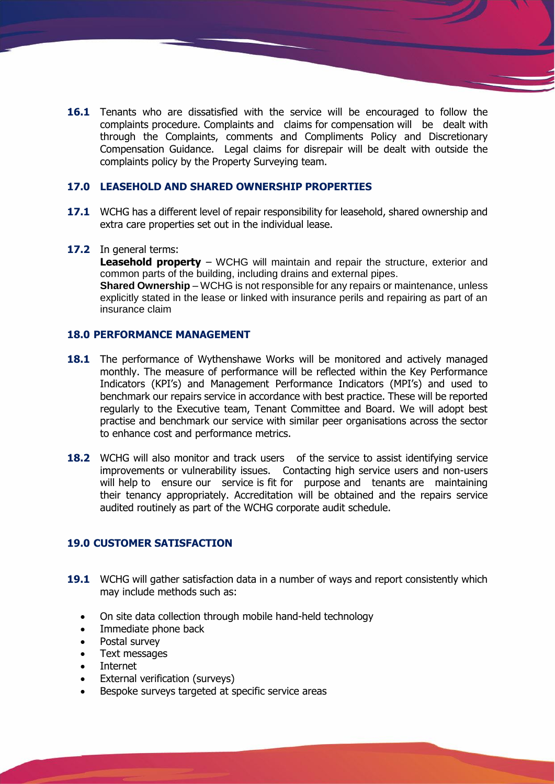**16.1** Tenants who are dissatisfied with the service will be encouraged to follow the complaints procedure. Complaints and claims for compensation will be dealt with through the Complaints, comments and Compliments Policy and Discretionary Compensation Guidance. Legal claims for disrepair will be dealt with outside the complaints policy by the Property Surveying team.

#### **17.0 LEASEHOLD AND SHARED OWNERSHIP PROPERTIES**

- **17.1** WCHG has a different level of repair responsibility for leasehold, shared ownership and extra care properties set out in the individual lease.
- **17.2** In general terms:

**Leasehold property** – WCHG will maintain and repair the structure, exterior and common parts of the building, including drains and external pipes.

**Shared Ownership** – WCHG is not responsible for any repairs or maintenance, unless explicitly stated in the lease or linked with insurance perils and repairing as part of an insurance claim

# **18.0 PERFORMANCE MANAGEMENT**

- **18.1** The performance of Wythenshawe Works will be monitored and actively managed monthly. The measure of performance will be reflected within the Key Performance Indicators (KPI's) and Management Performance Indicators (MPI's) and used to benchmark our repairs service in accordance with best practice. These will be reported regularly to the Executive team, Tenant Committee and Board. We will adopt best practise and benchmark our service with similar peer organisations across the sector to enhance cost and performance metrics.
- **18.2** WCHG will also monitor and track users of the service to assist identifying service improvements or vulnerability issues. Contacting high service users and non-users will help to ensure our service is fit for purpose and tenants are maintaining their tenancy appropriately. Accreditation will be obtained and the repairs service audited routinely as part of the WCHG corporate audit schedule.

## **19.0 CUSTOMER SATISFACTION**

- **19.1** WCHG will gather satisfaction data in a number of ways and report consistently which may include methods such as:
	- On site data collection through mobile hand-held technology
	- Immediate phone back
	- Postal survey
	- Text messages
	- **Internet**
	- External verification (surveys)
	- Bespoke surveys targeted at specific service areas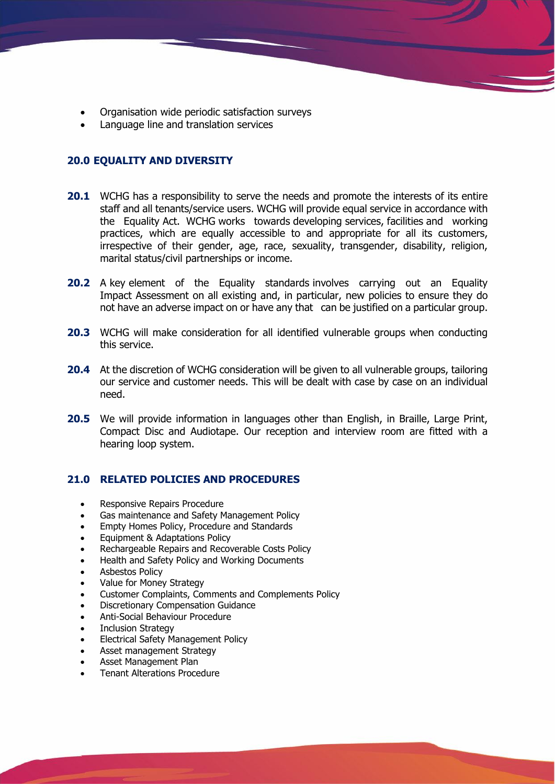- Organisation wide periodic satisfaction surveys
- Language line and translation services

# **20.0 EQUALITY AND DIVERSITY**

- **20.1** WCHG has a responsibility to serve the needs and promote the interests of its entire staff and all tenants/service users. WCHG will provide equal service in accordance with the Equality Act. WCHG works towards developing services, facilities and working practices, which are equally accessible to and appropriate for all its customers, irrespective of their gender, age, race, sexuality, transgender, disability, religion, marital status/civil partnerships or income.
- **20.2** A key element of the Equality standards involves carrying out an Equality Impact Assessment on all existing and, in particular, new policies to ensure they do not have an adverse impact on or have any that can be justified on a particular group.
- **20.3** WCHG will make consideration for all identified vulnerable groups when conducting this service.
- **20.4** At the discretion of WCHG consideration will be given to all vulnerable groups, tailoring our service and customer needs. This will be dealt with case by case on an individual need.
- **20.5** We will provide information in languages other than English, in Braille, Large Print, Compact Disc and Audiotape. Our reception and interview room are fitted with a hearing loop system.

## **21.0 RELATED POLICIES AND PROCEDURES**

- Responsive Repairs Procedure
- Gas maintenance and Safety Management Policy
- Empty Homes Policy, Procedure and Standards
- Equipment & Adaptations Policy
- Rechargeable Repairs and Recoverable Costs Policy
- Health and Safety Policy and Working Documents
- Asbestos Policy
- Value for Money Strategy
- Customer Complaints, Comments and Complements Policy
- Discretionary Compensation Guidance
- Anti-Social Behaviour Procedure
- Inclusion Strategy
- Electrical Safety Management Policy
- Asset management Strategy
- Asset Management Plan
- Tenant Alterations Procedure